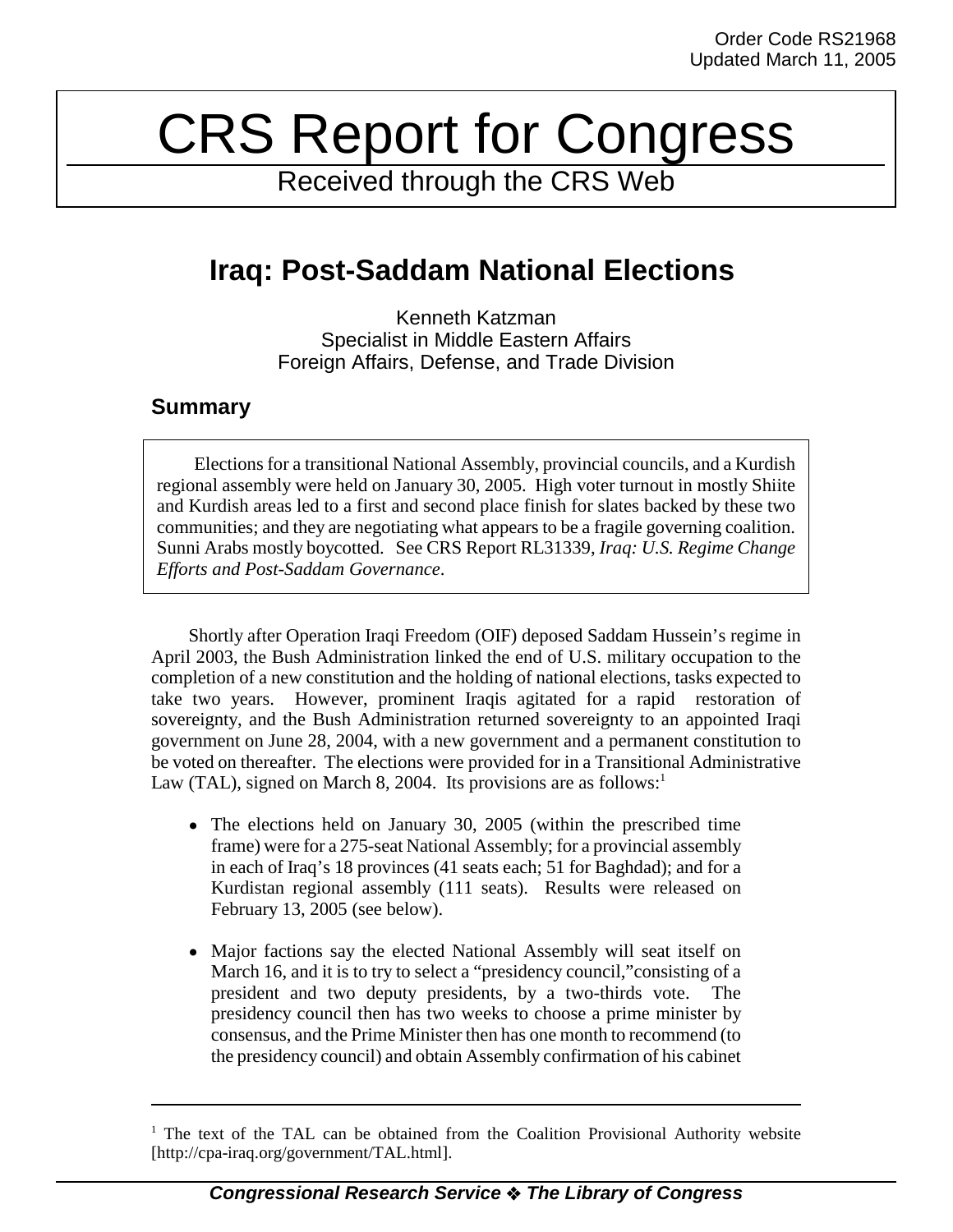# CRS Report for Congress

Received through the CRS Web

# **Iraq: Post-Saddam National Elections**

Kenneth Katzman Specialist in Middle Eastern Affairs Foreign Affairs, Defense, and Trade Division

### **Summary**

Elections for a transitional National Assembly, provincial councils, and a Kurdish regional assembly were held on January 30, 2005. High voter turnout in mostly Shiite and Kurdish areas led to a first and second place finish for slates backed by these two communities; and they are negotiating what appears to be a fragile governing coalition. Sunni Arabs mostly boycotted. See CRS Report RL31339, *Iraq: U.S. Regime Change Efforts and Post-Saddam Governance*.

Shortly after Operation Iraqi Freedom (OIF) deposed Saddam Hussein's regime in April 2003, the Bush Administration linked the end of U.S. military occupation to the completion of a new constitution and the holding of national elections, tasks expected to take two years. However, prominent Iraqis agitated for a rapid restoration of sovereignty, and the Bush Administration returned sovereignty to an appointed Iraqi government on June 28, 2004, with a new government and a permanent constitution to be voted on thereafter. The elections were provided for in a Transitional Administrative Law (TAL), signed on March 8, 2004. Its provisions are as follows:<sup>1</sup>

- The elections held on January 30, 2005 (within the prescribed time frame) were for a 275-seat National Assembly; for a provincial assembly in each of Iraq's 18 provinces (41 seats each; 51 for Baghdad); and for a Kurdistan regional assembly (111 seats). Results were released on February 13, 2005 (see below).
- Major factions say the elected National Assembly will seat itself on March 16, and it is to try to select a "presidency council,"consisting of a president and two deputy presidents, by a two-thirds vote. The presidency council then has two weeks to choose a prime minister by consensus, and the Prime Minister then has one month to recommend (to the presidency council) and obtain Assembly confirmation of his cabinet

<sup>&</sup>lt;sup>1</sup> The text of the TAL can be obtained from the Coalition Provisional Authority website [http://cpa-iraq.org/government/TAL.html].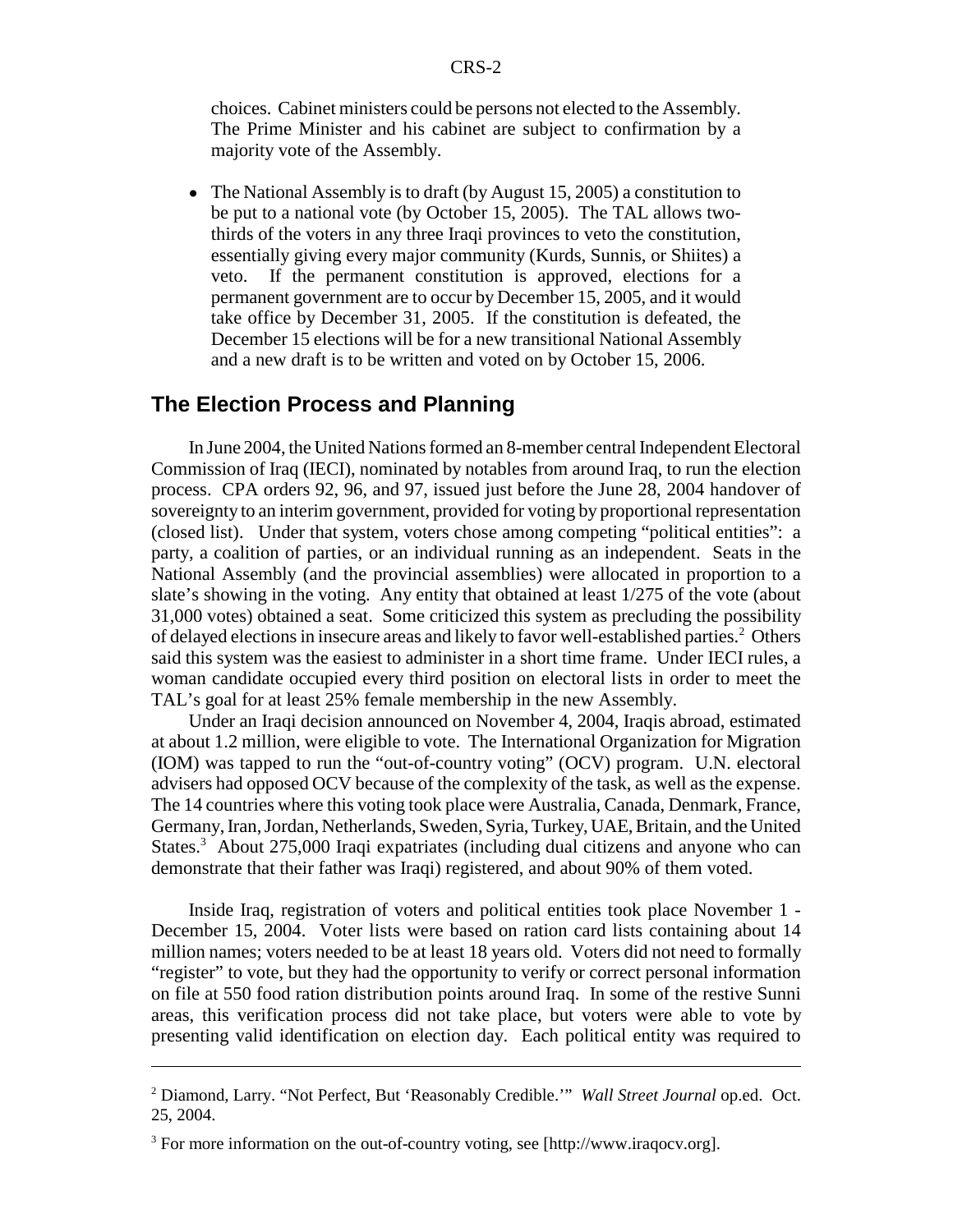choices. Cabinet ministers could be persons not elected to the Assembly. The Prime Minister and his cabinet are subject to confirmation by a majority vote of the Assembly.

• The National Assembly is to draft (by August 15, 2005) a constitution to be put to a national vote (by October 15, 2005). The TAL allows twothirds of the voters in any three Iraqi provinces to veto the constitution, essentially giving every major community (Kurds, Sunnis, or Shiites) a veto. If the permanent constitution is approved, elections for a permanent government are to occur by December 15, 2005, and it would take office by December 31, 2005. If the constitution is defeated, the December 15 elections will be for a new transitional National Assembly and a new draft is to be written and voted on by October 15, 2006.

#### **The Election Process and Planning**

In June 2004, the United Nations formed an 8-member central Independent Electoral Commission of Iraq (IECI), nominated by notables from around Iraq, to run the election process. CPA orders 92, 96, and 97, issued just before the June 28, 2004 handover of sovereignty to an interim government, provided for voting by proportional representation (closed list). Under that system, voters chose among competing "political entities": a party, a coalition of parties, or an individual running as an independent. Seats in the National Assembly (and the provincial assemblies) were allocated in proportion to a slate's showing in the voting. Any entity that obtained at least 1/275 of the vote (about 31,000 votes) obtained a seat. Some criticized this system as precluding the possibility of delayed elections in insecure areas and likely to favor well-established parties.<sup>2</sup> Others said this system was the easiest to administer in a short time frame. Under IECI rules, a woman candidate occupied every third position on electoral lists in order to meet the TAL's goal for at least 25% female membership in the new Assembly.

Under an Iraqi decision announced on November 4, 2004, Iraqis abroad, estimated at about 1.2 million, were eligible to vote. The International Organization for Migration (IOM) was tapped to run the "out-of-country voting" (OCV) program. U.N. electoral advisers had opposed OCV because of the complexity of the task, as well as the expense. The 14 countries where this voting took place were Australia, Canada, Denmark, France, Germany, Iran, Jordan, Netherlands, Sweden, Syria, Turkey, UAE, Britain, and the United States.<sup>3</sup> About 275,000 Iraqi expatriates (including dual citizens and anyone who can demonstrate that their father was Iraqi) registered, and about 90% of them voted.

Inside Iraq, registration of voters and political entities took place November 1 - December 15, 2004. Voter lists were based on ration card lists containing about 14 million names; voters needed to be at least 18 years old. Voters did not need to formally "register" to vote, but they had the opportunity to verify or correct personal information on file at 550 food ration distribution points around Iraq. In some of the restive Sunni areas, this verification process did not take place, but voters were able to vote by presenting valid identification on election day. Each political entity was required to

<sup>2</sup> Diamond, Larry. "Not Perfect, But 'Reasonably Credible.'" *Wall Street Journal* op.ed. Oct. 25, 2004.

<sup>&</sup>lt;sup>3</sup> For more information on the out-of-country voting, see [http://www.iraqocv.org].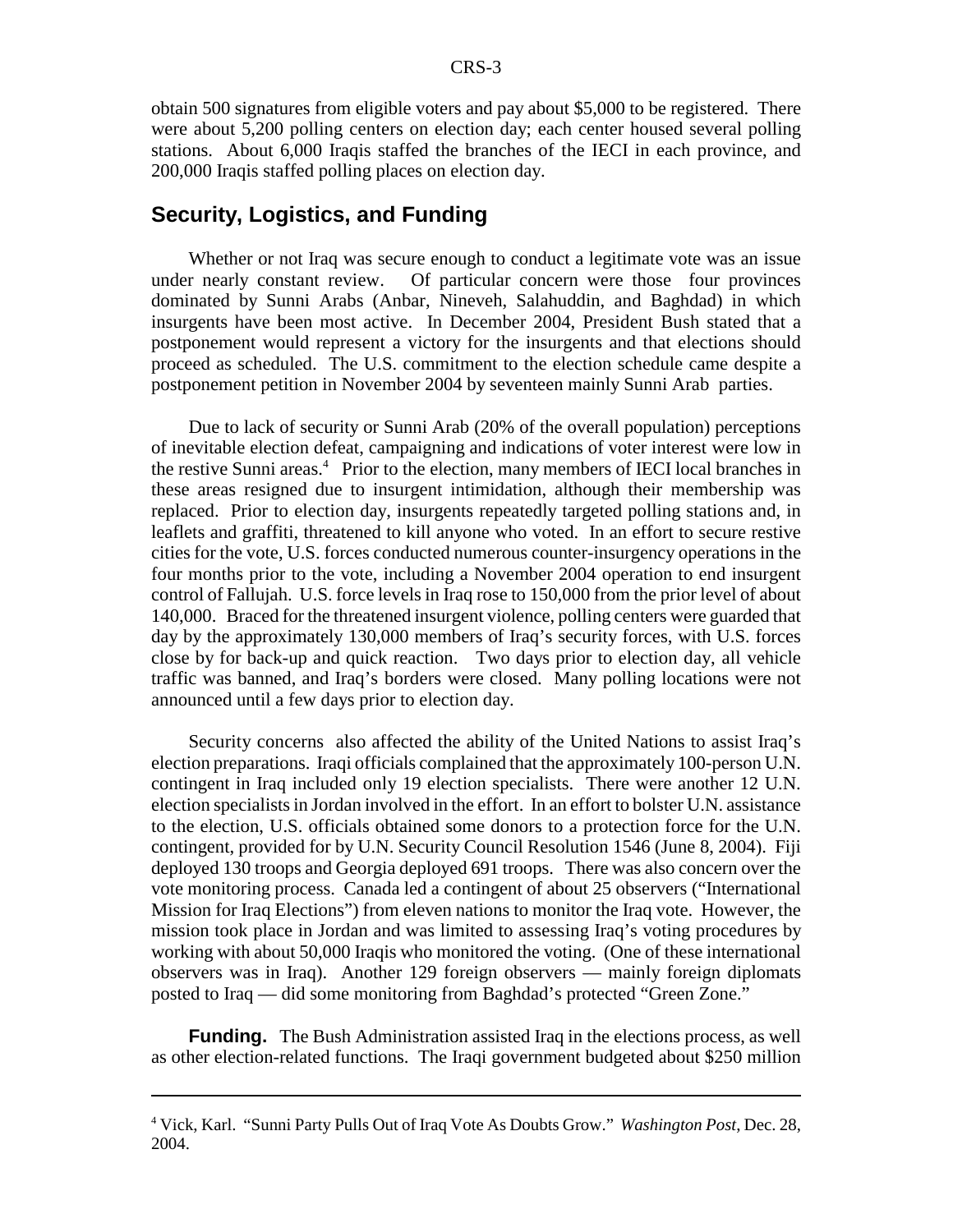obtain 500 signatures from eligible voters and pay about \$5,000 to be registered. There were about 5,200 polling centers on election day; each center housed several polling stations. About 6,000 Iraqis staffed the branches of the IECI in each province, and 200,000 Iraqis staffed polling places on election day.

#### **Security, Logistics, and Funding**

Whether or not Iraq was secure enough to conduct a legitimate vote was an issue under nearly constant review. Of particular concern were those four provinces dominated by Sunni Arabs (Anbar, Nineveh, Salahuddin, and Baghdad) in which insurgents have been most active. In December 2004, President Bush stated that a postponement would represent a victory for the insurgents and that elections should proceed as scheduled. The U.S. commitment to the election schedule came despite a postponement petition in November 2004 by seventeen mainly Sunni Arab parties.

Due to lack of security or Sunni Arab (20% of the overall population) perceptions of inevitable election defeat, campaigning and indications of voter interest were low in the restive Sunni areas.<sup>4</sup> Prior to the election, many members of IECI local branches in these areas resigned due to insurgent intimidation, although their membership was replaced. Prior to election day, insurgents repeatedly targeted polling stations and, in leaflets and graffiti, threatened to kill anyone who voted. In an effort to secure restive cities for the vote, U.S. forces conducted numerous counter-insurgency operations in the four months prior to the vote, including a November 2004 operation to end insurgent control of Fallujah. U.S. force levels in Iraq rose to 150,000 from the prior level of about 140,000. Braced for the threatened insurgent violence, polling centers were guarded that day by the approximately 130,000 members of Iraq's security forces, with U.S. forces close by for back-up and quick reaction. Two days prior to election day, all vehicle traffic was banned, and Iraq's borders were closed. Many polling locations were not announced until a few days prior to election day.

Security concerns also affected the ability of the United Nations to assist Iraq's election preparations. Iraqi officials complained that the approximately 100-person U.N. contingent in Iraq included only 19 election specialists. There were another 12 U.N. election specialists in Jordan involved in the effort. In an effort to bolster U.N. assistance to the election, U.S. officials obtained some donors to a protection force for the U.N. contingent, provided for by U.N. Security Council Resolution 1546 (June 8, 2004). Fiji deployed 130 troops and Georgia deployed 691 troops. There was also concern over the vote monitoring process. Canada led a contingent of about 25 observers ("International Mission for Iraq Elections") from eleven nations to monitor the Iraq vote. However, the mission took place in Jordan and was limited to assessing Iraq's voting procedures by working with about 50,000 Iraqis who monitored the voting. (One of these international observers was in Iraq). Another 129 foreign observers — mainly foreign diplomats posted to Iraq — did some monitoring from Baghdad's protected "Green Zone."

**Funding.** The Bush Administration assisted Iraq in the elections process, as well as other election-related functions. The Iraqi government budgeted about \$250 million

<sup>4</sup> Vick, Karl. "Sunni Party Pulls Out of Iraq Vote As Doubts Grow." *Washington Post*, Dec. 28, 2004.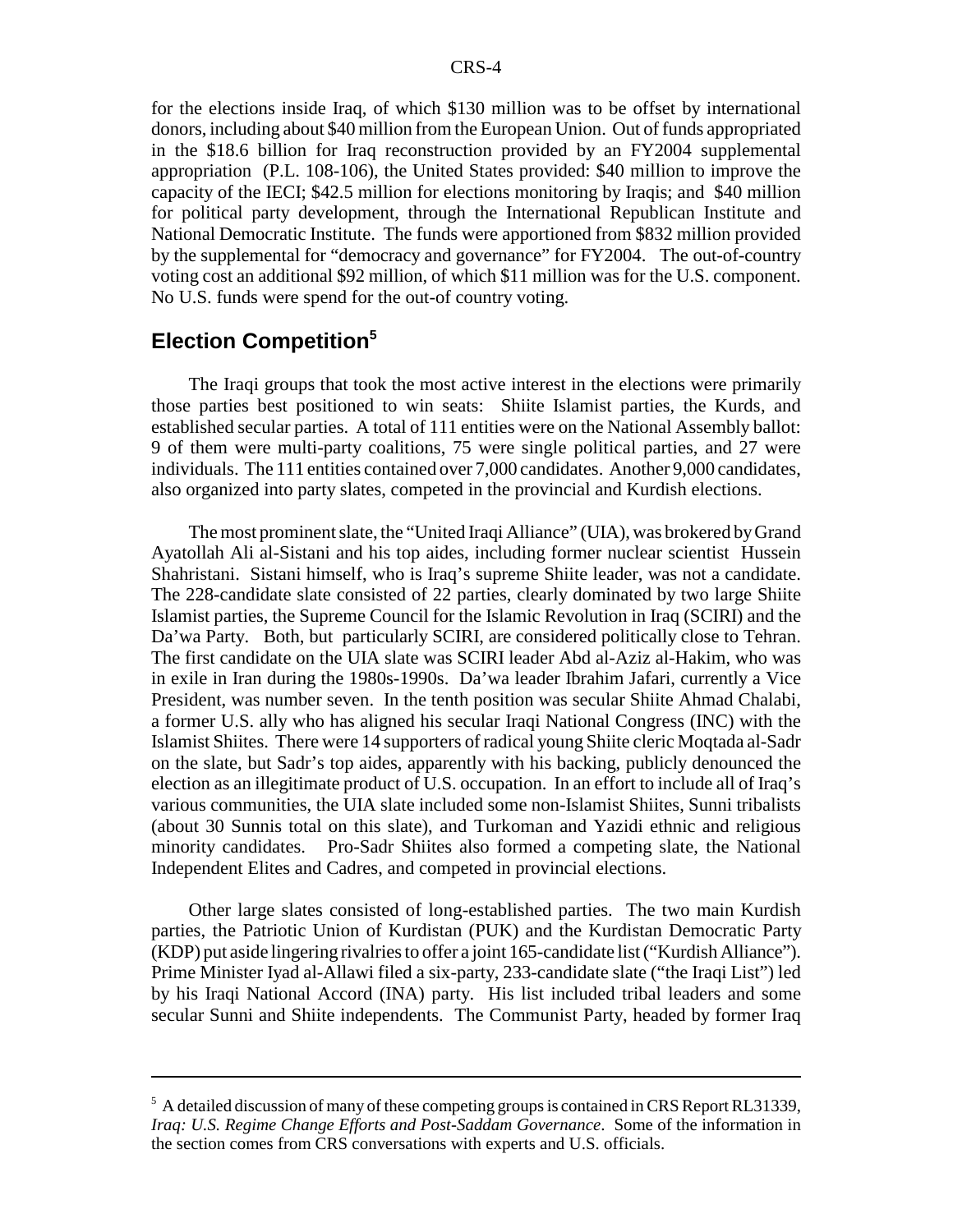for the elections inside Iraq, of which \$130 million was to be offset by international donors, including about \$40 million from the European Union. Out of funds appropriated in the \$18.6 billion for Iraq reconstruction provided by an FY2004 supplemental appropriation (P.L. 108-106), the United States provided: \$40 million to improve the capacity of the IECI; \$42.5 million for elections monitoring by Iraqis; and \$40 million for political party development, through the International Republican Institute and National Democratic Institute. The funds were apportioned from \$832 million provided by the supplemental for "democracy and governance" for FY2004. The out-of-country voting cost an additional \$92 million, of which \$11 million was for the U.S. component. No U.S. funds were spend for the out-of country voting.

## **Election Competition5**

The Iraqi groups that took the most active interest in the elections were primarily those parties best positioned to win seats: Shiite Islamist parties, the Kurds, and established secular parties. A total of 111 entities were on the National Assembly ballot: 9 of them were multi-party coalitions, 75 were single political parties, and 27 were individuals. The 111 entities contained over 7,000 candidates. Another 9,000 candidates, also organized into party slates, competed in the provincial and Kurdish elections.

The most prominent slate, the "United Iraqi Alliance" (UIA), was brokered by Grand Ayatollah Ali al-Sistani and his top aides, including former nuclear scientist Hussein Shahristani. Sistani himself, who is Iraq's supreme Shiite leader, was not a candidate. The 228-candidate slate consisted of 22 parties, clearly dominated by two large Shiite Islamist parties, the Supreme Council for the Islamic Revolution in Iraq (SCIRI) and the Da'wa Party. Both, but particularly SCIRI, are considered politically close to Tehran. The first candidate on the UIA slate was SCIRI leader Abd al-Aziz al-Hakim, who was in exile in Iran during the 1980s-1990s. Da'wa leader Ibrahim Jafari, currently a Vice President, was number seven. In the tenth position was secular Shiite Ahmad Chalabi, a former U.S. ally who has aligned his secular Iraqi National Congress (INC) with the Islamist Shiites. There were 14 supporters of radical young Shiite cleric Moqtada al-Sadr on the slate, but Sadr's top aides, apparently with his backing, publicly denounced the election as an illegitimate product of U.S. occupation. In an effort to include all of Iraq's various communities, the UIA slate included some non-Islamist Shiites, Sunni tribalists (about 30 Sunnis total on this slate), and Turkoman and Yazidi ethnic and religious minority candidates. Pro-Sadr Shiites also formed a competing slate, the National Independent Elites and Cadres, and competed in provincial elections.

Other large slates consisted of long-established parties. The two main Kurdish parties, the Patriotic Union of Kurdistan (PUK) and the Kurdistan Democratic Party (KDP) put aside lingering rivalries to offer a joint 165-candidate list ("Kurdish Alliance"). Prime Minister Iyad al-Allawi filed a six-party, 233-candidate slate ("the Iraqi List") led by his Iraqi National Accord (INA) party. His list included tribal leaders and some secular Sunni and Shiite independents. The Communist Party, headed by former Iraq

<sup>&</sup>lt;sup>5</sup> A detailed discussion of many of these competing groups is contained in CRS Report RL31339, *Iraq: U.S. Regime Change Efforts and Post-Saddam Governance*. Some of the information in the section comes from CRS conversations with experts and U.S. officials.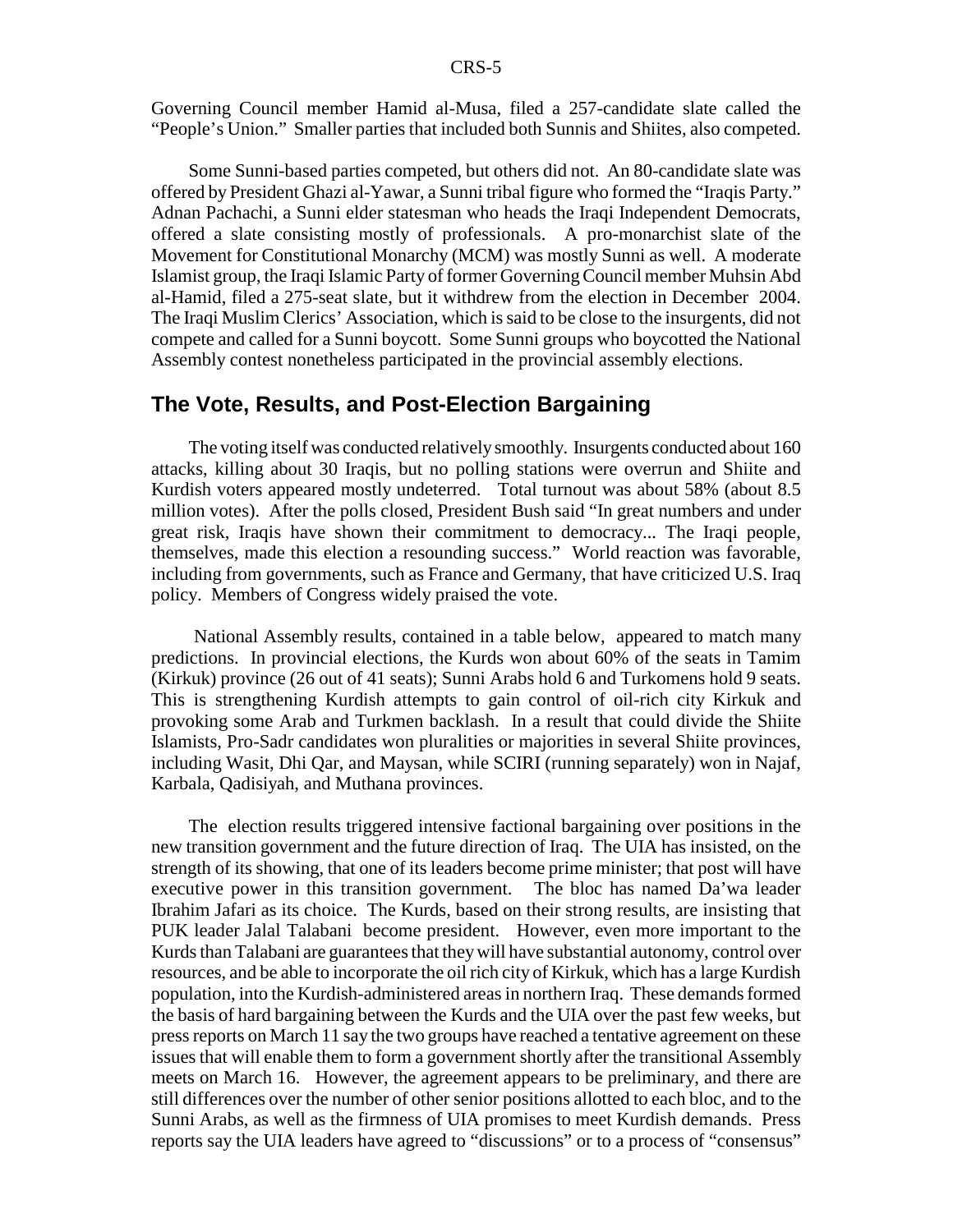Governing Council member Hamid al-Musa, filed a 257-candidate slate called the "People's Union." Smaller parties that included both Sunnis and Shiites, also competed.

Some Sunni-based parties competed, but others did not. An 80-candidate slate was offered by President Ghazi al-Yawar, a Sunni tribal figure who formed the "Iraqis Party." Adnan Pachachi, a Sunni elder statesman who heads the Iraqi Independent Democrats, offered a slate consisting mostly of professionals. A pro-monarchist slate of the Movement for Constitutional Monarchy (MCM) was mostly Sunni as well. A moderate Islamist group, the Iraqi Islamic Party of former Governing Council member Muhsin Abd al-Hamid, filed a 275-seat slate, but it withdrew from the election in December 2004. The Iraqi Muslim Clerics' Association, which is said to be close to the insurgents, did not compete and called for a Sunni boycott. Some Sunni groups who boycotted the National Assembly contest nonetheless participated in the provincial assembly elections.

#### **The Vote, Results, and Post-Election Bargaining**

The voting itself was conducted relatively smoothly. Insurgents conducted about 160 attacks, killing about 30 Iraqis, but no polling stations were overrun and Shiite and Kurdish voters appeared mostly undeterred. Total turnout was about 58% (about 8.5 million votes). After the polls closed, President Bush said "In great numbers and under great risk, Iraqis have shown their commitment to democracy... The Iraqi people, themselves, made this election a resounding success." World reaction was favorable, including from governments, such as France and Germany, that have criticized U.S. Iraq policy. Members of Congress widely praised the vote.

 National Assembly results, contained in a table below, appeared to match many predictions. In provincial elections, the Kurds won about 60% of the seats in Tamim (Kirkuk) province (26 out of 41 seats); Sunni Arabs hold 6 and Turkomens hold 9 seats. This is strengthening Kurdish attempts to gain control of oil-rich city Kirkuk and provoking some Arab and Turkmen backlash. In a result that could divide the Shiite Islamists, Pro-Sadr candidates won pluralities or majorities in several Shiite provinces, including Wasit, Dhi Qar, and Maysan, while SCIRI (running separately) won in Najaf, Karbala, Qadisiyah, and Muthana provinces.

The election results triggered intensive factional bargaining over positions in the new transition government and the future direction of Iraq. The UIA has insisted, on the strength of its showing, that one of its leaders become prime minister; that post will have executive power in this transition government. The bloc has named Da'wa leader Ibrahim Jafari as its choice. The Kurds, based on their strong results, are insisting that PUK leader Jalal Talabani become president. However, even more important to the Kurds than Talabani are guarantees that they will have substantial autonomy, control over resources, and be able to incorporate the oil rich city of Kirkuk, which has a large Kurdish population, into the Kurdish-administered areas in northern Iraq. These demands formed the basis of hard bargaining between the Kurds and the UIA over the past few weeks, but press reports on March 11 say the two groups have reached a tentative agreement on these issues that will enable them to form a government shortly after the transitional Assembly meets on March 16. However, the agreement appears to be preliminary, and there are still differences over the number of other senior positions allotted to each bloc, and to the Sunni Arabs, as well as the firmness of UIA promises to meet Kurdish demands. Press reports say the UIA leaders have agreed to "discussions" or to a process of "consensus"